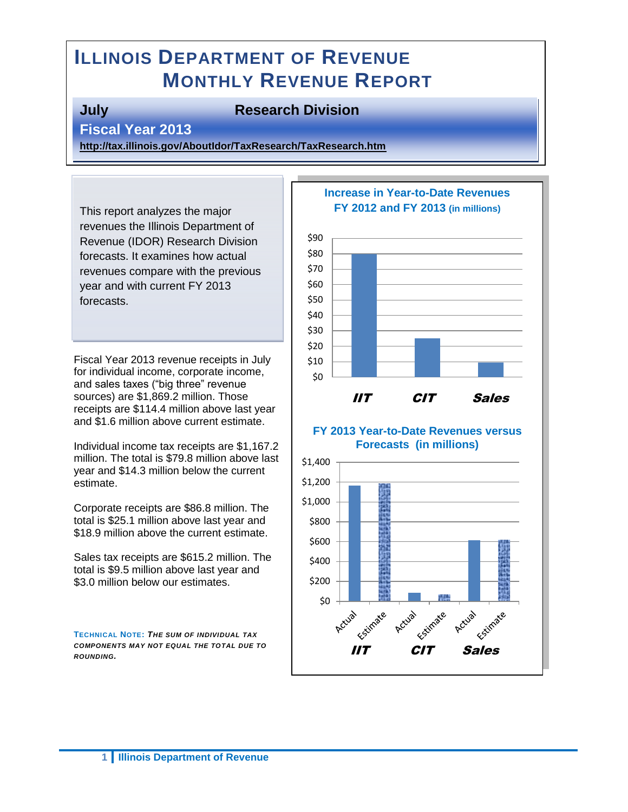# **ILLINOIS DEPARTMENT OF REVENUE MONTHLY REVENUE REPORT**

#### **July Research Division**

**Fiscal Year 2013** 

**<http://tax.illinois.gov/AboutIdor/TaxResearch/TaxResearch.htm>**

This report analyzes the major revenues the Illinois Department of Revenue (IDOR) Research Division forecasts. It examines how actual revenues compare with the previous year and with current FY 2013 forecasts.

Fiscal Year 2013 revenue receipts in July for individual income, corporate income, and sales taxes ("big three" revenue sources) are \$1,869.2 million. Those receipts are \$114.4 million above last year and \$1.6 million above current estimate.

Individual income tax receipts are \$1,167.2 million. The total is \$79.8 million above last year and \$14.3 million below the current estimate.

Corporate receipts are \$86.8 million. The total is \$25.1 million above last year and \$18.9 million above the current estimate.

Sales tax receipts are \$615.2 million. The total is \$9.5 million above last year and \$3.0 million below our estimates.

**TECHNICAL NOTE:** *THE SUM OF INDIVIDUAL TAX COMPONENTS MAY NOT EQUAL THE TOTAL DUE TO ROUNDING.*



#### **Increase in Year-to-Date Revenues FY 2012 and FY 2013 (in millions)**

#### **FY 2013 Year-to-Date Revenues versus Forecasts (in millions)**

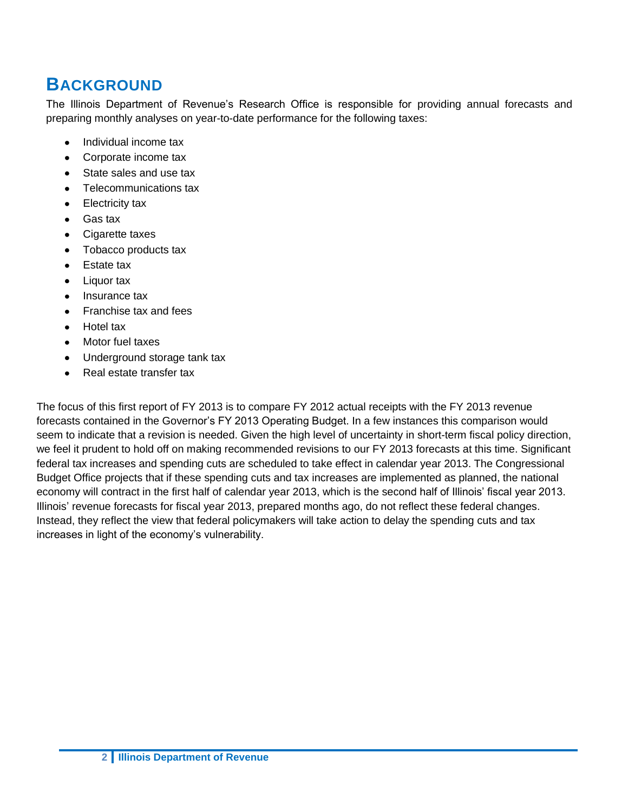## **BACKGROUND**

The Illinois Department of Revenue's Research Office is responsible for providing annual forecasts and preparing monthly analyses on year-to-date performance for the following taxes:

- Individual income tax
- Corporate income tax  $\bullet$
- State sales and use tax
- Telecommunications tax  $\bullet$
- Electricity tax  $\bullet$
- Gas tax
- $\bullet$ Cigarette taxes
- Tobacco products tax
- Estate tax
- $\bullet$ Liquor tax
- Insurance tax  $\bullet$
- Franchise tax and fees
- Hotel tax
- Motor fuel taxes  $\bullet$
- Underground storage tank tax
- Real estate transfer tax  $\bullet$

The focus of this first report of FY 2013 is to compare FY 2012 actual receipts with the FY 2013 revenue forecasts contained in the Governor's FY 2013 Operating Budget. In a few instances this comparison would seem to indicate that a revision is needed. Given the high level of uncertainty in short-term fiscal policy direction, we feel it prudent to hold off on making recommended revisions to our FY 2013 forecasts at this time. Significant federal tax increases and spending cuts are scheduled to take effect in calendar year 2013. The Congressional Budget Office projects that if these spending cuts and tax increases are implemented as planned, the national economy will contract in the first half of calendar year 2013, which is the second half of Illinois' fiscal year 2013. Illinois' revenue forecasts for fiscal year 2013, prepared months ago, do not reflect these federal changes. Instead, they reflect the view that federal policymakers will take action to delay the spending cuts and tax increases in light of the economy's vulnerability.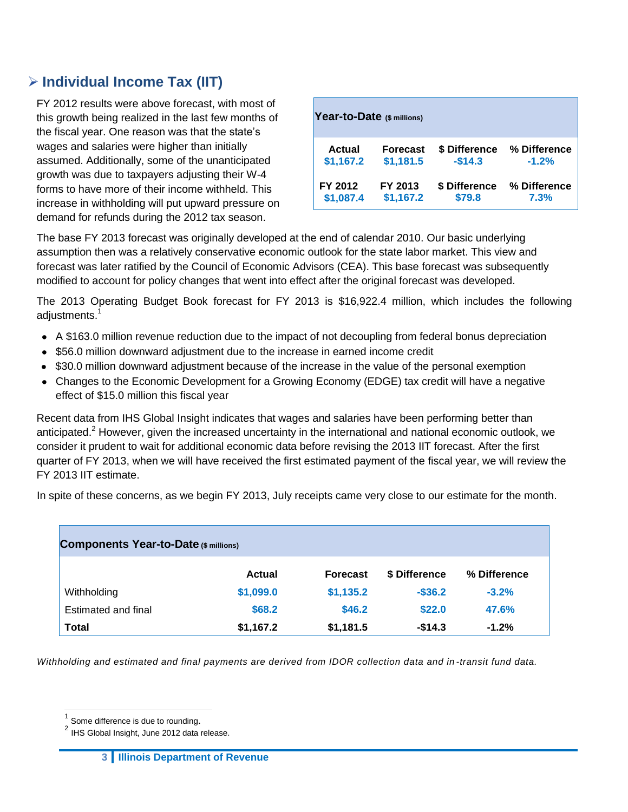### **Individual Income Tax (IIT)**

FY 2012 results were above forecast, with most of this growth being realized in the last few months of the fiscal year. One reason was that the state's wages and salaries were higher than initially assumed. Additionally, some of the unanticipated growth was due to taxpayers adjusting their W-4 forms to have more of their income withheld. This increase in withholding will put upward pressure on demand for refunds during the 2012 tax season.

| Year-to-Date (\$ millions) |                 |               |              |  |  |  |  |
|----------------------------|-----------------|---------------|--------------|--|--|--|--|
| Actual                     | <b>Forecast</b> | \$ Difference | % Difference |  |  |  |  |
| \$1,167.2                  | \$1,181.5       | $-$14.3$      | $-1.2%$      |  |  |  |  |
| FY 2012                    | FY 2013         | \$ Difference | % Difference |  |  |  |  |
| \$1,087.4                  | \$1,167.2       | \$79.8        | 7.3%         |  |  |  |  |

The base FY 2013 forecast was originally developed at the end of calendar 2010. Our basic underlying assumption then was a relatively conservative economic outlook for the state labor market. This view and forecast was later ratified by the Council of Economic Advisors (CEA). This base forecast was subsequently modified to account for policy changes that went into effect after the original forecast was developed.

The 2013 Operating Budget Book forecast for FY 2013 is \$16,922.4 million, which includes the following adjustments.<sup>1</sup>

- A \$163.0 million revenue reduction due to the impact of not decoupling from federal bonus depreciation
- \$56.0 million downward adjustment due to the increase in earned income credit
- \$30.0 million downward adjustment because of the increase in the value of the personal exemption
- Changes to the Economic Development for a Growing Economy (EDGE) tax credit will have a negative effect of \$15.0 million this fiscal year

Recent data from IHS Global Insight indicates that wages and salaries have been performing better than anticipated.<sup>2</sup> However, given the increased uncertainty in the international and national economic outlook, we consider it prudent to wait for additional economic data before revising the 2013 IIT forecast. After the first quarter of FY 2013, when we will have received the first estimated payment of the fiscal year, we will review the FY 2013 IIT estimate.

In spite of these concerns, as we begin FY 2013, July receipts came very close to our estimate for the month.

| Components Year-to-Date (\$ millions) |           |                 |               |              |  |  |  |
|---------------------------------------|-----------|-----------------|---------------|--------------|--|--|--|
|                                       | Actual    | <b>Forecast</b> | \$ Difference | % Difference |  |  |  |
| Withholding                           | \$1,099.0 | \$1,135.2       | $-$36.2$      | $-3.2%$      |  |  |  |
| Estimated and final                   | \$68.2    | \$46.2          | \$22.0        | 47.6%        |  |  |  |
| <b>Total</b>                          | \$1,167.2 | \$1,181.5       | $-$14.3$      | $-1.2%$      |  |  |  |

Withholding and estimated and final payments are derived from IDOR collection data and in *-transit fund data*.

 $\overline{a}$ 

 $1$  Some difference is due to rounding.

<sup>&</sup>lt;sup>2</sup> IHS Global Insight, June 2012 data release.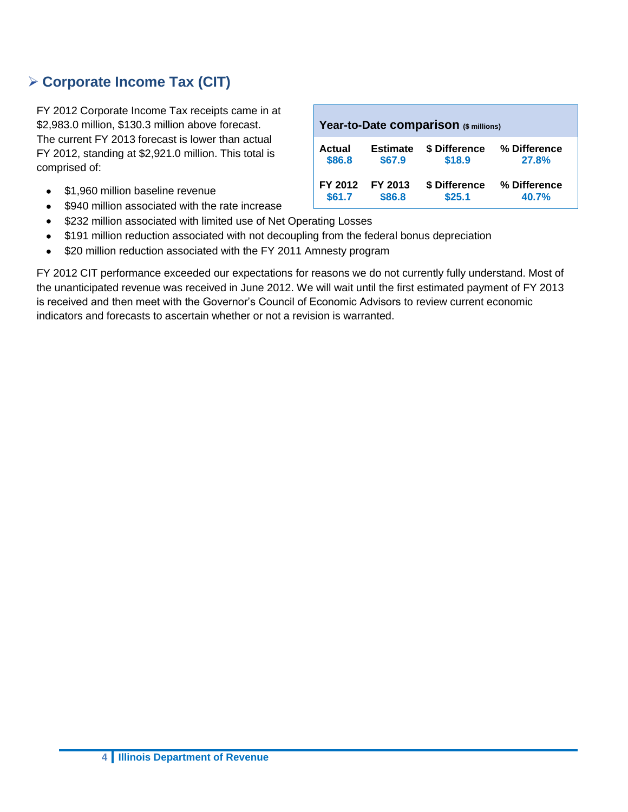## **Corporate Income Tax (CIT)**

FY 2012 Corporate Income Tax receipts came in at \$2,983.0 million, \$130.3 million above forecast. The current FY 2013 forecast is lower than actual FY 2012, standing at \$2,921.0 million. This total is comprised of:

- $\bullet$ \$1,960 million baseline revenue
- \$940 million associated with the rate increase  $\bullet$
- \$232 million associated with limited use of Net Operating Losses  $\bullet$
- \$191 million reduction associated with not decoupling from the federal bonus depreciation  $\bullet$
- \$20 million reduction associated with the FY 2011 Amnesty program  $\bullet$

FY 2012 CIT performance exceeded our expectations for reasons we do not currently fully understand. Most of the unanticipated revenue was received in June 2012. We will wait until the first estimated payment of FY 2013 is received and then meet with the Governor's Council of Economic Advisors to review current economic indicators and forecasts to ascertain whether or not a revision is warranted.

| Year-to-Date comparison (\$ millions)                                                                    |                   |                         |                       |  |  |  |
|----------------------------------------------------------------------------------------------------------|-------------------|-------------------------|-----------------------|--|--|--|
| \$ Difference<br>% Difference<br><b>Estimate</b><br><b>Actual</b><br>\$18.9<br>\$86.8<br>\$67.9<br>27.8% |                   |                         |                       |  |  |  |
| FY 2012<br>\$61.7                                                                                        | FY 2013<br>\$86.8 | \$ Difference<br>\$25.1 | % Difference<br>40.7% |  |  |  |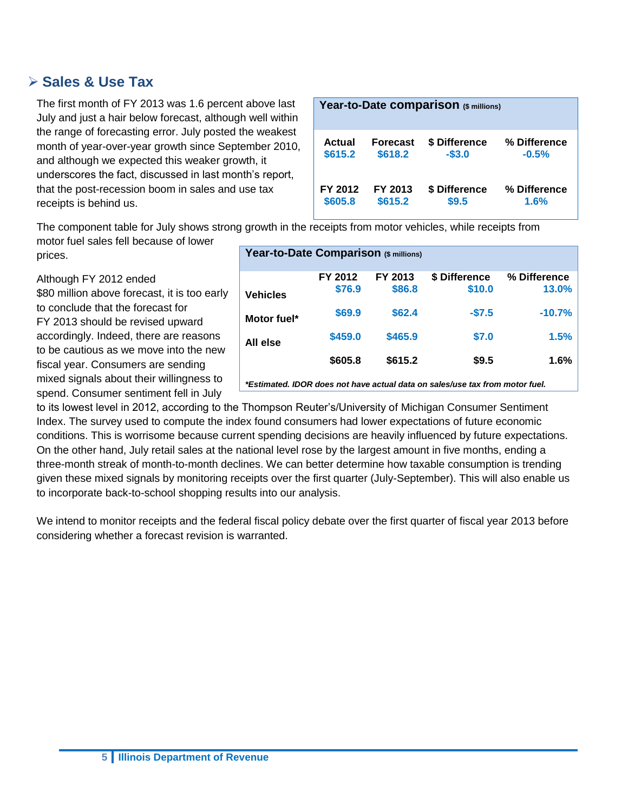#### **Sales & Use Tax**

The first month of FY 2013 was 1.6 percent above last July and just a hair below forecast, although well within the range of forecasting error. July posted the weakest month of year-over-year growth since September 2010, and although we expected this weaker growth, it underscores the fact, discussed in last month's report, that the post-recession boom in sales and use tax receipts is behind us.

| Year-to-Date comparison (\$ millions) |          |               |              |  |  |  |
|---------------------------------------|----------|---------------|--------------|--|--|--|
| Actual                                | Forecast | \$ Difference | % Difference |  |  |  |
| \$615.2                               | \$618.2  | $-$3.0$       | $-0.5%$      |  |  |  |
| FY 2012                               | FY 2013  | \$ Difference | % Difference |  |  |  |
| \$605.8                               | \$615.2  | \$9.5         | 1.6%         |  |  |  |

The component table for July shows strong growth in the receipts from motor vehicles, while receipts from motor fuel sales fell because of lower

prices.

Although FY 2012 ended

\$80 million above forecast, it is too early to conclude that the forecast for FY 2013 should be revised upward accordingly. Indeed, there are reasons to be cautious as we move into the new fiscal year. Consumers are sending mixed signals about their willingness to spend. Consumer sentiment fell in July

| Year-to-Date Comparison (\$ millions)                                        |         |         |               |              |  |  |  |
|------------------------------------------------------------------------------|---------|---------|---------------|--------------|--|--|--|
|                                                                              | FY 2012 | FY 2013 | \$ Difference | % Difference |  |  |  |
| <b>Vehicles</b>                                                              | \$76.9  | \$86.8  | \$10.0        | 13.0%        |  |  |  |
| Motor fuel*                                                                  | \$69.9  | \$62.4  | $-$7.5$       | $-10.7%$     |  |  |  |
| All else                                                                     | \$459.0 | \$465.9 | \$7.0         | 1.5%         |  |  |  |
|                                                                              | \$605.8 | \$615.2 | \$9.5         | 1.6%         |  |  |  |
| *Estimated. IDOR does not have actual data on sales/use tax from motor fuel. |         |         |               |              |  |  |  |

to its lowest level in 2012, according to the Thompson Reuter's/University of Michigan Consumer Sentiment Index. The survey used to compute the index found consumers had lower expectations of future economic conditions. This is worrisome because current spending decisions are heavily influenced by future expectations. On the other hand, July retail sales at the national level rose by the largest amount in five months, ending a three-month streak of month-to-month declines. We can better determine how taxable consumption is trending given these mixed signals by monitoring receipts over the first quarter (July-September). This will also enable us to incorporate back-to-school shopping results into our analysis.

We intend to monitor receipts and the federal fiscal policy debate over the first quarter of fiscal year 2013 before considering whether a forecast revision is warranted.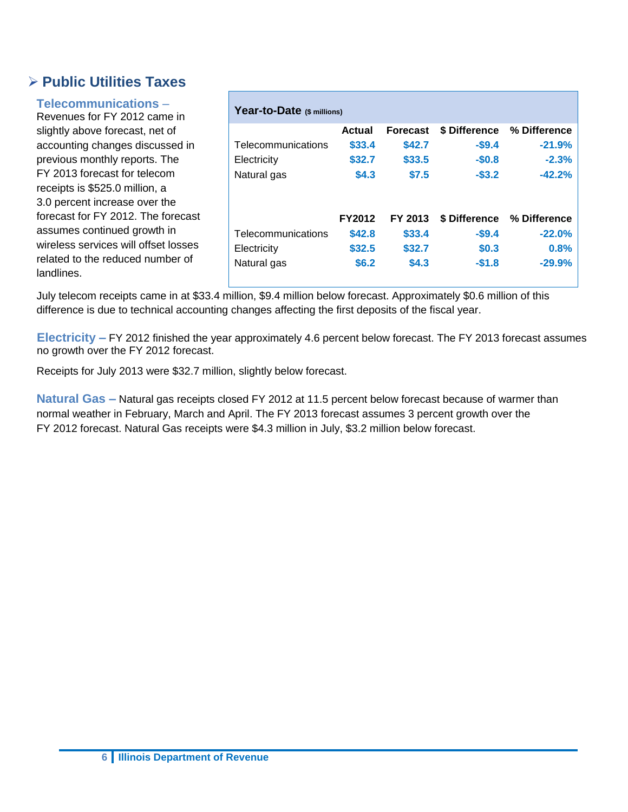### **Public Utilities Taxes**

#### **Telecommunications** –

Revenues for FY 2012 came in slightly above forecast, net of accounting changes discussed in previous monthly reports. The FY 2013 forecast for telecom receipts is \$525.0 million, a 3.0 percent increase over the forecast for FY 2012. The forecast assumes continued growth in wireless services will offset losses related to the reduced number of landlines.

| Year-to-Date (\$ millions)                       |                                            |                                      |                                              |                                              |  |  |  |
|--------------------------------------------------|--------------------------------------------|--------------------------------------|----------------------------------------------|----------------------------------------------|--|--|--|
|                                                  | Actual                                     | <b>Forecast</b>                      | \$ Difference                                | % Difference                                 |  |  |  |
| Telecommunications                               | \$33.4                                     | \$42.7                               | $-$9.4$                                      | $-21.9%$                                     |  |  |  |
| Electricity                                      | \$32.7                                     | \$33.5                               | $-$0.8$                                      | $-2.3%$                                      |  |  |  |
| Natural gas                                      | \$4.3                                      | \$7.5                                | $-$ \$3.2                                    | $-42.2%$                                     |  |  |  |
| Telecommunications<br>Electricity<br>Natural gas | <b>FY2012</b><br>\$42.8<br>\$32.5<br>\$6.2 | FY 2013<br>\$33.4<br>\$32.7<br>\$4.3 | \$ Difference<br>$-$9.4$<br>\$0.3<br>$-$1.8$ | % Difference<br>$-22.0%$<br>0.8%<br>$-29.9%$ |  |  |  |

July telecom receipts came in at \$33.4 million, \$9.4 million below forecast. Approximately \$0.6 million of this difference is due to technical accounting changes affecting the first deposits of the fiscal year.

**Electricity –** FY 2012 finished the year approximately 4.6 percent below forecast. The FY 2013 forecast assumes no growth over the FY 2012 forecast.

Receipts for July 2013 were \$32.7 million, slightly below forecast.

**Natural Gas –** Natural gas receipts closed FY 2012 at 11.5 percent below forecast because of warmer than normal weather in February, March and April. The FY 2013 forecast assumes 3 percent growth over the FY 2012 forecast. Natural Gas receipts were \$4.3 million in July, \$3.2 million below forecast.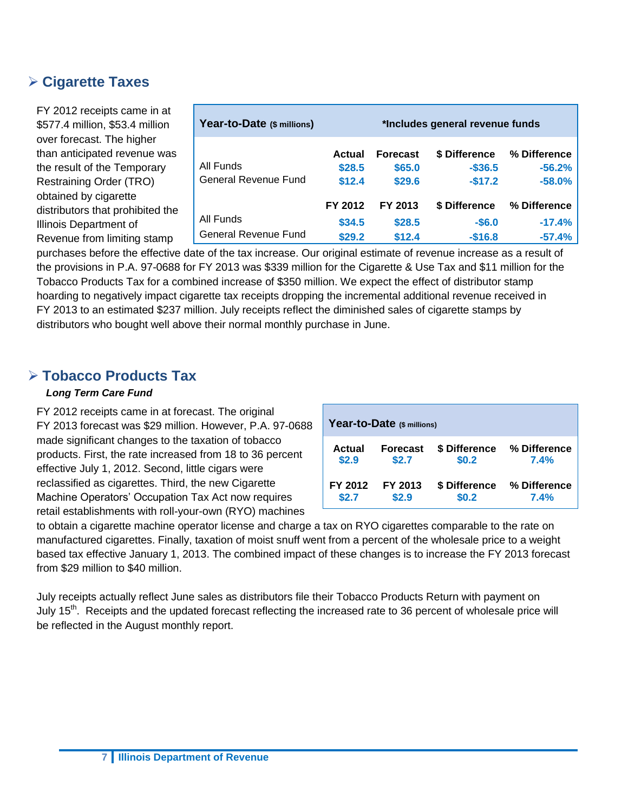#### **Cigarette Taxes**

FY 2012 receipts came in at \$577.4 million, \$53.4 million over forecast. The higher than anticipated revenue was the result of the Temporary Restraining Order (TRO) obtained by cigarette distributors that prohibited the Illinois Department of Revenue from limiting stamp

| Year-to-Date (\$ millions)        | *Includes general revenue funds |                                     |                                         |                                      |  |  |
|-----------------------------------|---------------------------------|-------------------------------------|-----------------------------------------|--------------------------------------|--|--|
| All Funds<br>General Revenue Fund | Actual<br>\$28.5<br>\$12.4      | <b>Forecast</b><br>\$65.0<br>\$29.6 | \$ Difference<br>$-$ \$36.5<br>$-$17.2$ | % Difference<br>$-56.2%$<br>$-58.0%$ |  |  |
|                                   | FY 2012                         | FY 2013                             | \$ Difference                           | % Difference                         |  |  |
| All Funds                         | \$34.5                          | \$28.5                              | $-$6.0$                                 | $-17.4%$                             |  |  |
| <b>General Revenue Fund</b>       | \$29.2                          | \$12.4                              | $-$16.8$                                | $-57.4%$                             |  |  |

purchases before the effective date of the tax increase. Our original estimate of revenue increase as a result of the provisions in P.A. 97-0688 for FY 2013 was \$339 million for the Cigarette & Use Tax and \$11 million for the Tobacco Products Tax for a combined increase of \$350 million. We expect the effect of distributor stamp hoarding to negatively impact cigarette tax receipts dropping the incremental additional revenue received in FY 2013 to an estimated \$237 million. July receipts reflect the diminished sales of cigarette stamps by distributors who bought well above their normal monthly purchase in June.

#### **Tobacco Products Tax**

#### *Long Term Care Fund*

FY 2012 receipts came in at forecast. The original FY 2013 forecast was \$29 million. However, P.A. 97-0688 made significant changes to the taxation of tobacco products. First, the rate increased from 18 to 36 percent effective July 1, 2012. Second, little cigars were reclassified as cigarettes. Third, the new Cigarette Machine Operators' Occupation Tax Act now requires retail establishments with roll-your-own (RYO) machines

| Year-to-Date (\$ millions) |                 |               |              |  |  |  |  |
|----------------------------|-----------------|---------------|--------------|--|--|--|--|
| Actual                     | <b>Forecast</b> | \$ Difference | % Difference |  |  |  |  |
| \$2.9                      | \$2.7           | \$0.2         | 7.4%         |  |  |  |  |
| FY 2012                    | FY 2013         | \$ Difference | % Difference |  |  |  |  |
| \$2.7                      | \$2.9           | \$0.2         | 7.4%         |  |  |  |  |

to obtain a cigarette machine operator license and charge a tax on RYO cigarettes comparable to the rate on manufactured cigarettes. Finally, taxation of moist snuff went from a percent of the wholesale price to a weight based tax effective January 1, 2013. The combined impact of these changes is to increase the FY 2013 forecast from \$29 million to \$40 million.

July receipts actually reflect June sales as distributors file their Tobacco Products Return with payment on July 15<sup>th</sup>. Receipts and the updated forecast reflecting the increased rate to 36 percent of wholesale price will be reflected in the August monthly report.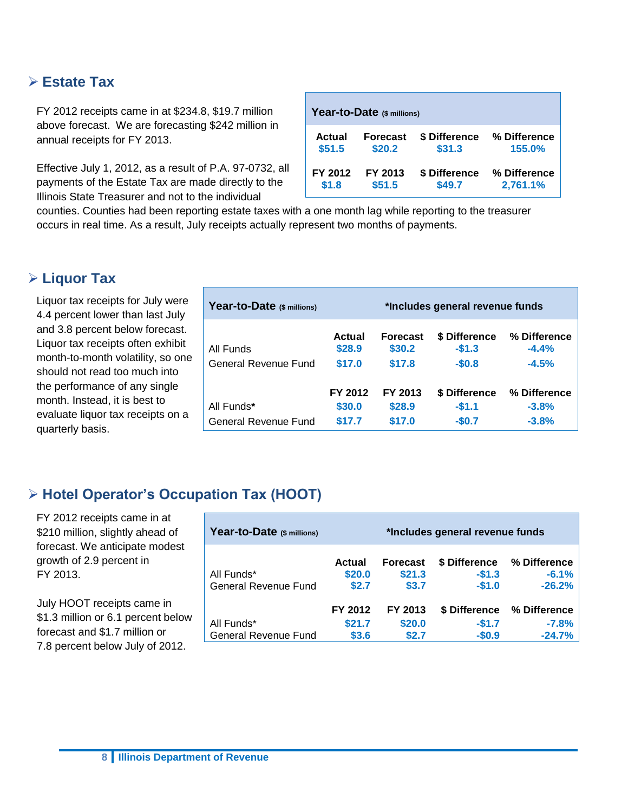#### **Estate Tax**

FY 2012 receipts came in at \$234.8, \$19.7 million above forecast. We are forecasting \$242 million in annual receipts for FY 2013.

Effective July 1, 2012, as a result of P.A. 97-0732, all payments of the Estate Tax are made directly to the Illinois State Treasurer and not to the individual

| Year-to-Date (\$ millions) |                 |               |              |  |  |  |
|----------------------------|-----------------|---------------|--------------|--|--|--|
| Actual                     | <b>Forecast</b> | \$ Difference | % Difference |  |  |  |
| \$51.5                     | \$20.2          | \$31.3        | 155.0%       |  |  |  |
| FY 2012                    | FY 2013         | \$ Difference | % Difference |  |  |  |
| \$1.8                      | \$51.5          | \$49.7        | 2,761.1%     |  |  |  |

counties. Counties had been reporting estate taxes with a one month lag while reporting to the treasurer occurs in real time. As a result, July receipts actually represent two months of payments.

#### **Liquor Tax**

Liquor tax receipts for July were 4.4 percent lower than last July and 3.8 percent below forecast. Liquor tax receipts often exhibit month-to-month volatility, so one should not read too much into the performance of any single month. Instead, it is best to evaluate liquor tax receipts on a quarterly basis.

| Year-to-Date (\$ millions) | *Includes general revenue funds |                           |                          |                         |  |  |
|----------------------------|---------------------------------|---------------------------|--------------------------|-------------------------|--|--|
| All Funds                  | Actual<br>\$28.9                | <b>Forecast</b><br>\$30.2 | \$ Difference<br>$-$1.3$ | % Difference<br>$-4.4%$ |  |  |
| General Revenue Fund       | \$17.0                          | \$17.8                    | $-$0.8$                  | $-4.5%$                 |  |  |
| All Funds*                 | FY 2012<br>\$30.0               | FY 2013<br>\$28.9         | \$ Difference<br>$-51.1$ | % Difference<br>$-3.8%$ |  |  |
| General Revenue Fund       | \$17.7                          | \$17.0                    | $-$0.7$                  | $-3.8%$                 |  |  |

## **Hotel Operator's Occupation Tax (HOOT)**

FY 2012 receipts came in at \$210 million, slightly ahead of forecast. We anticipate modest growth of 2.9 percent in FY 2013.

July HOOT receipts came in \$1.3 million or 6.1 percent below forecast and \$1.7 million or 7.8 percent below July of 2012.

| Year-to-Date (\$ millions)                | *Includes general revenue funds  |                                    |                                     |                                     |  |  |
|-------------------------------------------|----------------------------------|------------------------------------|-------------------------------------|-------------------------------------|--|--|
| All Funds*<br><b>General Revenue Fund</b> | <b>Actual</b><br>\$20.0<br>\$2.7 | <b>Forecast</b><br>\$21.3<br>\$3.7 | \$ Difference<br>$-$1.3$<br>$-$1.0$ | % Difference<br>$-6.1%$<br>$-26.2%$ |  |  |
| All Funds*<br><b>General Revenue Fund</b> | FY 2012<br>\$21.7<br>\$3.6       | FY 2013<br>\$20.0<br>\$2.7         | \$ Difference<br>$-$1.7$<br>$-$0.9$ | % Difference<br>$-7.8%$<br>$-24.7%$ |  |  |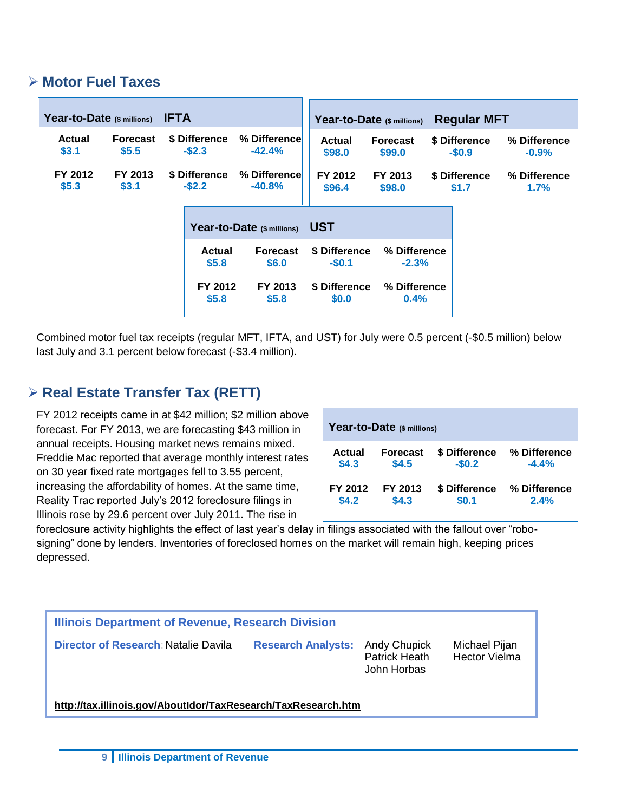#### **Motor Fuel Taxes**

| Year-to-Date (\$ millions) |                          | <b>IFTA</b>                 |                            |                              | Year-to-Date (\$ millions) | <b>Regular MFT</b>       |                         |
|----------------------------|--------------------------|-----------------------------|----------------------------|------------------------------|----------------------------|--------------------------|-------------------------|
| <b>Actual</b><br>\$3.1     | <b>Forecast</b><br>\$5.5 | \$ Difference<br>$-$ \$2.3  | % Difference<br>$-42.4%$   | <b>Actual</b><br>\$98.0      | <b>Forecast</b><br>\$99.0  | \$ Difference<br>$-$0.9$ | % Difference<br>$-0.9%$ |
| FY 2012<br>\$5.3           | FY 2013<br>\$3.1         | \$ Difference<br>$-$ \$2.2  | % Difference<br>$-40.8%$   | FY 2012<br>\$96.4            | FY 2013<br>\$98.0          | \$ Difference<br>\$1.7   | % Difference<br>1.7%    |
|                            |                          |                             | Year-to-Date (\$ millions) | <b>UST</b>                   |                            |                          |                         |
|                            |                          | <b>Actual</b><br><b>CEO</b> | <b>Forecast</b><br>CC O    | \$ Difference<br><b>CO 1</b> | % Difference<br>_າ າທ      |                          |                         |

| \$5.8   | \$6.0   | $-$0.1$ | $-2.3%$                    |  |  |  |
|---------|---------|---------|----------------------------|--|--|--|
| FY 2012 | FY 2013 | \$0.0   | \$ Difference % Difference |  |  |  |
| \$5.8   | \$5.8   |         | 0.4%                       |  |  |  |

Combined motor fuel tax receipts (regular MFT, IFTA, and UST) for July were 0.5 percent (-\$0.5 million) below last July and 3.1 percent below forecast (-\$3.4 million).

## **Real Estate Transfer Tax (RETT)**

FY 2012 receipts came in at \$42 million; \$2 million above forecast. For FY 2013, we are forecasting \$43 million in annual receipts. Housing market news remains mixed. Freddie Mac reported that average monthly interest rates on 30 year fixed rate mortgages fell to 3.55 percent, increasing the affordability of homes. At the same time, Reality Trac reported July's 2012 foreclosure filings in Illinois rose by 29.6 percent over July 2011. The rise in

| Year-to-Date (\$ millions) |                 |               |              |  |  |  |  |  |  |
|----------------------------|-----------------|---------------|--------------|--|--|--|--|--|--|
| Actual                     | <b>Forecast</b> | \$ Difference | % Difference |  |  |  |  |  |  |
| \$4.3                      | \$4.5           | $-$0.2$       | $-4.4%$      |  |  |  |  |  |  |
| FY 2012                    | FY 2013         | \$ Difference | % Difference |  |  |  |  |  |  |
| \$4.2                      | \$4.3           | \$0.1         | 2.4%         |  |  |  |  |  |  |

foreclosure activity highlights the effect of last year's delay in filings associated with the fallout over "robosigning" done by lenders. Inventories of foreclosed homes on the market will remain high, keeping prices depressed.

| Illinois Department of Revenue, Research Division             |                                                                        |                                       |  |  |  |  |  |  |
|---------------------------------------------------------------|------------------------------------------------------------------------|---------------------------------------|--|--|--|--|--|--|
| Director of Research: Natalie Davila                          | <b>Research Analysts: Andy Chupick</b><br>Patrick Heath<br>John Horbas | Michael Pijan<br><b>Hector Vielma</b> |  |  |  |  |  |  |
| http://tax.illinois.gov/AboutIdor/TaxResearch/TaxResearch.htm |                                                                        |                                       |  |  |  |  |  |  |